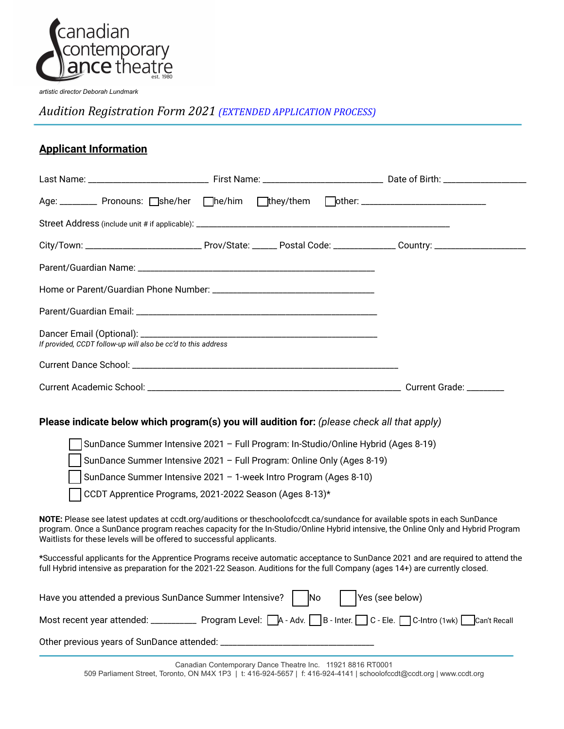

*artistic director Deborah Lundmark*

*Audition Registration Form 2021 (EXTENDED APPLICATION PROCESS)*

## **Applicant Information**

|                                                                                                                                                                                                                                                                 | Age: ________ Pronouns: Oshe/her Ohe/him Othey/them Oother: ____________________            |  |  |                 |                                                                                                                                                                                                                                                              |  |
|-----------------------------------------------------------------------------------------------------------------------------------------------------------------------------------------------------------------------------------------------------------------|---------------------------------------------------------------------------------------------|--|--|-----------------|--------------------------------------------------------------------------------------------------------------------------------------------------------------------------------------------------------------------------------------------------------------|--|
|                                                                                                                                                                                                                                                                 |                                                                                             |  |  |                 |                                                                                                                                                                                                                                                              |  |
|                                                                                                                                                                                                                                                                 |                                                                                             |  |  |                 |                                                                                                                                                                                                                                                              |  |
|                                                                                                                                                                                                                                                                 |                                                                                             |  |  |                 |                                                                                                                                                                                                                                                              |  |
|                                                                                                                                                                                                                                                                 |                                                                                             |  |  |                 |                                                                                                                                                                                                                                                              |  |
|                                                                                                                                                                                                                                                                 |                                                                                             |  |  |                 |                                                                                                                                                                                                                                                              |  |
|                                                                                                                                                                                                                                                                 | If provided, CCDT follow-up will also be cc'd to this address                               |  |  |                 |                                                                                                                                                                                                                                                              |  |
|                                                                                                                                                                                                                                                                 |                                                                                             |  |  |                 |                                                                                                                                                                                                                                                              |  |
|                                                                                                                                                                                                                                                                 |                                                                                             |  |  |                 |                                                                                                                                                                                                                                                              |  |
|                                                                                                                                                                                                                                                                 | Please indicate below which program(s) you will audition for: (please check all that apply) |  |  |                 |                                                                                                                                                                                                                                                              |  |
| SunDance Summer Intensive 2021 - Full Program: In-Studio/Online Hybrid (Ages 8-19)                                                                                                                                                                              |                                                                                             |  |  |                 |                                                                                                                                                                                                                                                              |  |
| SunDance Summer Intensive 2021 - Full Program: Online Only (Ages 8-19)<br>SunDance Summer Intensive 2021 - 1-week Intro Program (Ages 8-10)                                                                                                                     |                                                                                             |  |  |                 |                                                                                                                                                                                                                                                              |  |
|                                                                                                                                                                                                                                                                 | CCDT Apprentice Programs, 2021-2022 Season (Ages 8-13)*                                     |  |  |                 |                                                                                                                                                                                                                                                              |  |
|                                                                                                                                                                                                                                                                 | Waitlists for these levels will be offered to successful applicants.                        |  |  |                 | NOTE: Please see latest updates at ccdt.org/auditions or theschoolofccdt.ca/sundance for available spots in each SunDance<br>program. Once a SunDance program reaches capacity for the In-Studio/Online Hybrid intensive, the Online Only and Hybrid Program |  |
| *Successful applicants for the Apprentice Programs receive automatic acceptance to SunDance 2021 and are required to attend the<br>full Hybrid intensive as preparation for the 2021-22 Season. Auditions for the full Company (ages 14+) are currently closed. |                                                                                             |  |  |                 |                                                                                                                                                                                                                                                              |  |
|                                                                                                                                                                                                                                                                 | Have you attended a previous SunDance Summer Intensive?     No                              |  |  | Yes (see below) |                                                                                                                                                                                                                                                              |  |
|                                                                                                                                                                                                                                                                 |                                                                                             |  |  |                 | Most recent year attended: ________________ Program Level:     A - Adv.      B - Inter.   C - Ele.      C-Intro (1wk)      Can't Recall                                                                                                                      |  |
|                                                                                                                                                                                                                                                                 |                                                                                             |  |  |                 |                                                                                                                                                                                                                                                              |  |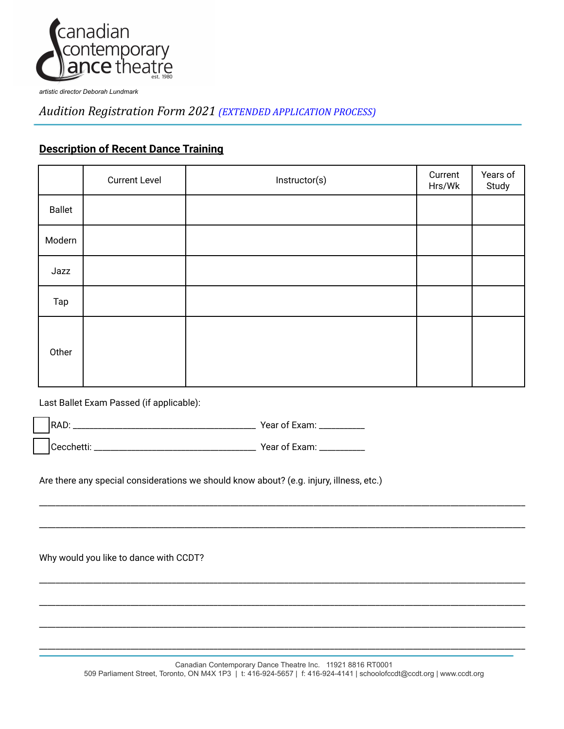

*artistic director Deborah Lundmark*

*Audition Registration Form 2021 (EXTENDED APPLICATION PROCESS)*

## **Description of Recent Dance Training**

|               | <b>Current Level</b> | Instructor(s) | Current<br>Hrs/Wk | Years of<br>Study |
|---------------|----------------------|---------------|-------------------|-------------------|
| <b>Ballet</b> |                      |               |                   |                   |
| Modern        |                      |               |                   |                   |
| Jazz          |                      |               |                   |                   |
| Tap           |                      |               |                   |                   |
| Other         |                      |               |                   |                   |

Last Ballet Exam Passed (if applicable):

⬚ RAD: \_\_\_\_\_\_\_\_\_\_\_\_\_\_\_\_\_\_\_\_\_\_\_\_\_\_\_\_\_\_\_\_\_\_\_\_\_\_\_\_\_\_\_\_ Year of Exam: \_\_\_\_\_\_\_\_\_\_\_

⬚ Cecchetti: \_\_\_\_\_\_\_\_\_\_\_\_\_\_\_\_\_\_\_\_\_\_\_\_\_\_\_\_\_\_\_\_\_\_\_\_\_\_\_ Year of Exam: \_\_\_\_\_\_\_\_\_\_\_

Are there any special considerations we should know about? (e.g. injury, illness, etc.)

Why would you like to dance with CCDT?

\_\_\_\_\_\_\_\_\_\_\_\_\_\_\_\_\_\_\_\_\_\_\_\_\_\_\_\_\_\_\_\_\_\_\_\_\_\_\_\_\_\_\_\_\_\_\_\_\_\_\_\_\_\_\_\_\_\_\_\_\_\_\_\_\_\_\_\_\_\_\_\_\_\_\_\_\_\_\_\_\_\_\_\_\_\_\_\_\_\_\_\_\_\_\_\_\_\_\_\_\_\_\_\_\_\_\_\_\_\_\_\_\_\_\_\_\_

\_\_\_\_\_\_\_\_\_\_\_\_\_\_\_\_\_\_\_\_\_\_\_\_\_\_\_\_\_\_\_\_\_\_\_\_\_\_\_\_\_\_\_\_\_\_\_\_\_\_\_\_\_\_\_\_\_\_\_\_\_\_\_\_\_\_\_\_\_\_\_\_\_\_\_\_\_\_\_\_\_\_\_\_\_\_\_\_\_\_\_\_\_\_\_\_\_\_\_\_\_\_\_\_\_\_\_\_\_\_\_\_\_\_\_\_\_

\_\_\_\_\_\_\_\_\_\_\_\_\_\_\_\_\_\_\_\_\_\_\_\_\_\_\_\_\_\_\_\_\_\_\_\_\_\_\_\_\_\_\_\_\_\_\_\_\_\_\_\_\_\_\_\_\_\_\_\_\_\_\_\_\_\_\_\_\_\_\_\_\_\_\_\_\_\_\_\_\_\_\_\_\_\_\_\_\_\_\_\_\_\_\_\_\_\_\_\_\_\_\_\_\_\_\_\_\_\_\_\_\_\_\_\_\_

\_\_\_\_\_\_\_\_\_\_\_\_\_\_\_\_\_\_\_\_\_\_\_\_\_\_\_\_\_\_\_\_\_\_\_\_\_\_\_\_\_\_\_\_\_\_\_\_\_\_\_\_\_\_\_\_\_\_\_\_\_\_\_\_\_\_\_\_\_\_\_\_\_\_\_\_\_\_\_\_\_\_\_\_\_\_\_\_\_\_\_\_\_\_\_\_\_\_\_\_\_\_\_\_\_\_\_\_\_\_\_\_\_\_\_\_\_

\_\_\_\_\_\_\_\_\_\_\_\_\_\_\_\_\_\_\_\_\_\_\_\_\_\_\_\_\_\_\_\_\_\_\_\_\_\_\_\_\_\_\_\_\_\_\_\_\_\_\_\_\_\_\_\_\_\_\_\_\_\_\_\_\_\_\_\_\_\_\_\_\_\_\_\_\_\_\_\_\_\_\_\_\_\_\_\_\_\_\_\_\_\_\_\_\_\_\_\_\_\_\_\_\_\_\_\_\_\_\_\_\_\_\_\_\_

\_\_\_\_\_\_\_\_\_\_\_\_\_\_\_\_\_\_\_\_\_\_\_\_\_\_\_\_\_\_\_\_\_\_\_\_\_\_\_\_\_\_\_\_\_\_\_\_\_\_\_\_\_\_\_\_\_\_\_\_\_\_\_\_\_\_\_\_\_\_\_\_\_\_\_\_\_\_\_\_\_\_\_\_\_\_\_\_\_\_\_\_\_\_\_\_\_\_\_\_\_\_\_\_\_\_\_\_\_\_\_\_\_\_\_\_\_